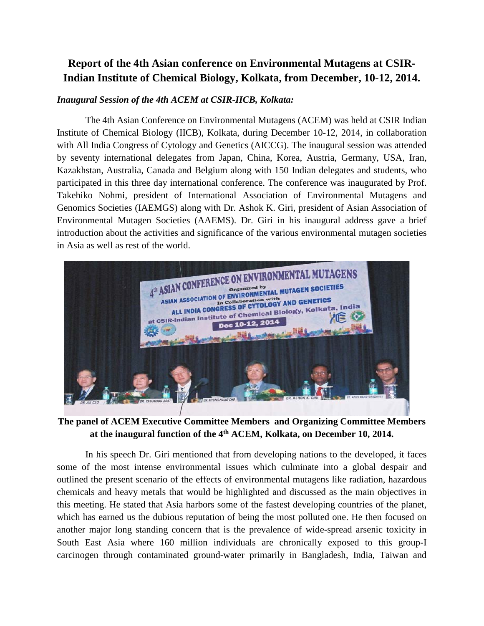# **Report of the 4th Asian conference on Environmental Mutagens at CSIR-Indian Institute of Chemical Biology, Kolkata, from December, 10-12, 2014.**

### *Inaugural Session of the 4th ACEM at CSIR-IICB, Kolkata:*

The 4th Asian Conference on Environmental Mutagens (ACEM) was held at CSIR Indian Institute of Chemical Biology (IICB), Kolkata, during December 10-12, 2014, in collaboration with All India Congress of Cytology and Genetics (AICCG). The inaugural session was attended by seventy international delegates from Japan, China, Korea, Austria, Germany, USA, Iran, Kazakhstan, Australia, Canada and Belgium along with 150 Indian delegates and students, who participated in this three day international conference. The conference was inaugurated by Prof. Takehiko Nohmi, president of International Association of Environmental Mutagens and Genomics Societies (IAEMGS) along with Dr. Ashok K. Giri, president of Asian Association of Environmental Mutagen Societies (AAEMS). Dr. Giri in his inaugural address gave a brief introduction about the activities and significance of the various environmental mutagen societies in Asia as well as rest of the world.



**The panel of ACEM Executive Committee Members and Organizing Committee Members at the inaugural function of the 4th ACEM, Kolkata, on December 10, 2014.**

In his speech Dr. Giri mentioned that from developing nations to the developed, it faces some of the most intense environmental issues which culminate into a global despair and outlined the present scenario of the effects of environmental mutagens like radiation, hazardous chemicals and heavy metals that would be highlighted and discussed as the main objectives in this meeting. He stated that Asia harbors some of the fastest developing countries of the planet, which has earned us the dubious reputation of being the most polluted one. He then focused on another major long standing concern that is the prevalence of wide-spread arsenic toxicity in South East Asia where 160 million individuals are chronically exposed to this group-I carcinogen through contaminated ground-water primarily in Bangladesh, India, Taiwan and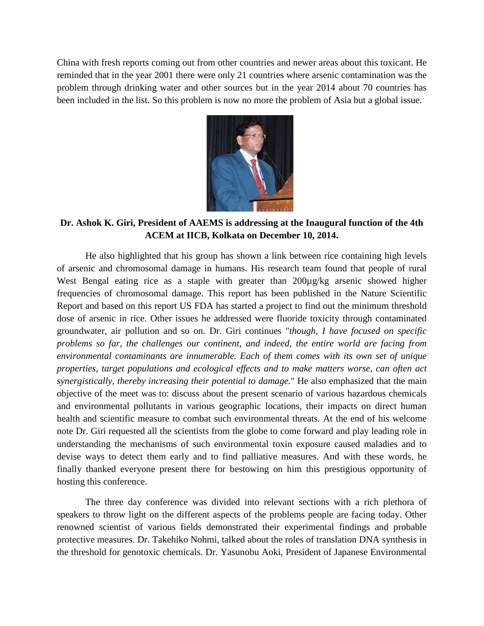China with fresh reports coming out from other countries and newer areas about this toxicant. He reminded that in the year 2001 there were only 21 countries where arsenic contamination was the problem through drinking water and other sources but in the year 2014 about 70 countries has been included in the list. So this problem is now no more the problem of Asia but a global issue.



## **Dr. Ashok K. Giri, President of AAEMS is addressing at the Inaugural function of the 4th ACEM at IICB, Kolkata on December 10, 2014.**

He also highlighted that his group has shown a link between rice containing high levels of arsenic and chromosomal damage in humans. His research team found that people of rural West Bengal eating rice as a staple with greater than 200µg/kg arsenic showed higher frequencies of chromosomal damage. This report has been published in the Nature Scientific Report and based on this report US FDA has started a project to find out the minimum threshold dose of arsenic in rice. Other issues he addressed were fluoride toxicity through contaminated groundwater, air pollution and so on. Dr. Giri continues "*though, I have focused on specific problems so far, the challenges our continent, and indeed, the entire world are facing from environmental contaminants are innumerable. Each of them comes with its own set of unique properties, target populations and ecological effects and to make matters worse, can often act synergistically, thereby increasing their potential to damage.*" He also emphasized that the main objective of the meet was to: discuss about the present scenario of various hazardous chemicals and environmental pollutants in various geographic locations, their impacts on direct human health and scientific measure to combat such environmental threats. At the end of his welcome note Dr. Giri requested all the scientists from the globe to come forward and play leading role in understanding the mechanisms of such environmental toxin exposure caused maladies and to devise ways to detect them early and to find palliative measures. And with these words, he finally thanked everyone present there for bestowing on him this prestigious opportunity of hosting this conference.

The three day conference was divided into relevant sections with a rich plethora of speakers to throw light on the different aspects of the problems people are facing today. Other renowned scientist of various fields demonstrated their experimental findings and probable protective measures. Dr. Takehiko Nohmi, talked about the roles of translation DNA synthesis in the threshold for genotoxic chemicals. Dr. Yasunobu Aoki, President of Japanese Environmental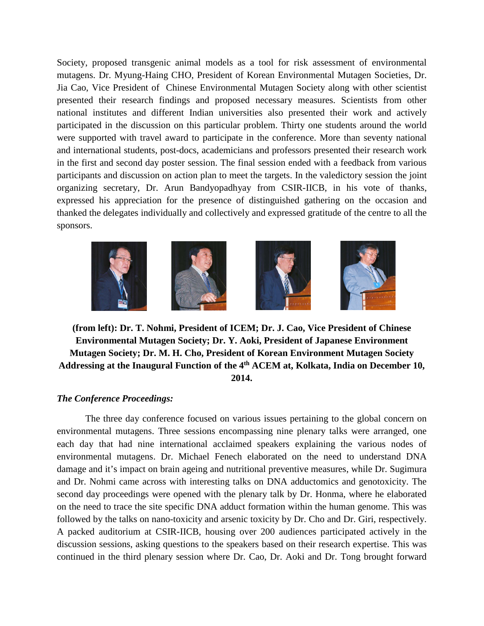Society, proposed transgenic animal models as a tool for risk assessment of environmental mutagens. Dr. Myung-Haing CHO, President of Korean Environmental Mutagen Societies, Dr. Jia Cao, Vice President of Chinese Environmental Mutagen Society along with other scientist presented their research findings and proposed necessary measures. Scientists from other national institutes and different Indian universities also presented their work and actively participated in the discussion on this particular problem. Thirty one students around the world were supported with travel award to participate in the conference. More than seventy national and international students, post-docs, academicians and professors presented their research work in the first and second day poster session. The final session ended with a feedback from various participants and discussion on action plan to meet the targets. In the valedictory session the joint organizing secretary, Dr. Arun Bandyopadhyay from CSIR-IICB, in his vote of thanks, expressed his appreciation for the presence of distinguished gathering on the occasion and thanked the delegates individually and collectively and expressed gratitude of the centre to all the sponsors.



**(from left): Dr. T. Nohmi, President of ICEM; Dr. J. Cao, Vice President of Chinese Environmental Mutagen Society; Dr. Y. Aoki, President of Japanese Environment Mutagen Society; Dr. M. H. Cho, President of Korean Environment Mutagen Society Addressing at the Inaugural Function of the 4th ACEM at, Kolkata, India on December 10, 2014.**

#### *The Conference Proceedings:*

The three day conference focused on various issues pertaining to the global concern on environmental mutagens. Three sessions encompassing nine plenary talks were arranged, one each day that had nine international acclaimed speakers explaining the various nodes of environmental mutagens. Dr. Michael Fenech elaborated on the need to understand DNA damage and it's impact on brain ageing and nutritional preventive measures, while Dr. Sugimura and Dr. Nohmi came across with interesting talks on DNA adductomics and genotoxicity. The second day proceedings were opened with the plenary talk by Dr. Honma, where he elaborated on the need to trace the site specific DNA adduct formation within the human genome. This was followed by the talks on nano-toxicity and arsenic toxicity by Dr. Cho and Dr. Giri, respectively. A packed auditorium at CSIR-IICB, housing over 200 audiences participated actively in the discussion sessions, asking questions to the speakers based on their research expertise. This was continued in the third plenary session where Dr. Cao, Dr. Aoki and Dr. Tong brought forward